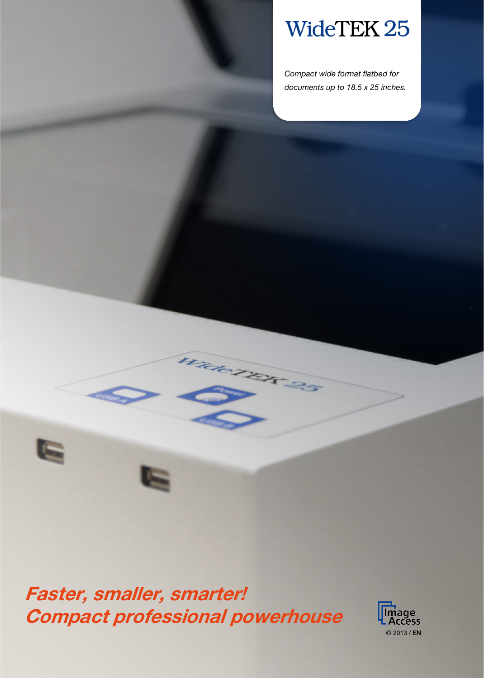# WideTEK 25

*Compact wide format flatbed for documents up to 18.5 x 25 inches.*

Faster, smaller, smarter! Compact professional powerhouse

G

Wide TER 25

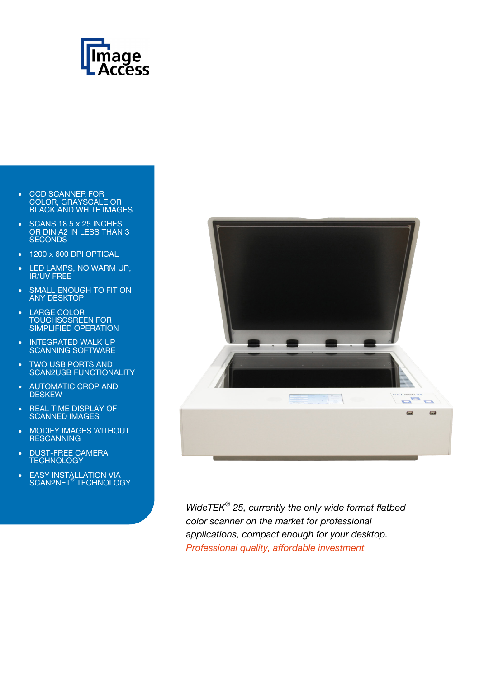

- CCD SCANNER FOR COLOR, GRAYSCALE OR BLACK AND WHITE IMAGES
- SCANS 18.5 x 25 INCHES OR DIN A2 IN LESS THAN 3 **SECONDS**
- 1200 x 600 DPI OPTICAL
- LED LAMPS, NO WARM UP, IR/UV FREE
- SMALL ENOUGH TO FIT ON ANY DESKTOP
- LARGE COLOR TOUCHSCSREEN FOR SIMPLIFIED OPERATION
- INTEGRATED WALK UP SCANNING SOFTWARE
- TWO USB PORTS AND SCAN2USB FUNCTIONALITY
- AUTOMATIC CROP AND **DESKEW**
- REAL TIME DISPLAY OF SCANNED IMAGES
- MODIFY IMAGES WITHOUT RESCANNING
- **DUST-FREE CAMERA TECHNOLOGY**
- EASY INSTALLATION VIA SCAN2NET® TECHNOLOGY



*WideTEK® 25, currently the only wide format flatbed color scanner on the market for professional applications, compact enough for your desktop. Professional quality, affordable investment*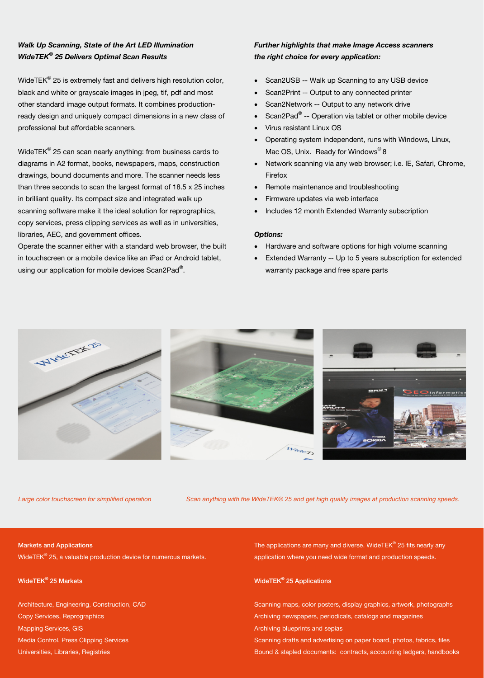### *Walk Up Scanning, State of the Art LED Illumination WideTEK® 25 Delivers Optimal Scan Results*

WideTEK® 25 is extremely fast and delivers high resolution color, black and white or grayscale images in jpeg, tif, pdf and most other standard image output formats. It combines productionready design and uniquely compact dimensions in a new class of professional but affordable scanners.

WideTE $K^{\circ}$  25 can scan nearly anything: from business cards to diagrams in A2 format, books, newspapers, maps, construction drawings, bound documents and more. The scanner needs less than three seconds to scan the largest format of 18.5 x 25 inches in brilliant quality. Its compact size and integrated walk up scanning software make it the ideal solution for reprographics, copy services, press clipping services as well as in universities, libraries, AEC, and government offices.

Operate the scanner either with a standard web browser, the built in touchscreen or a mobile device like an iPad or Android tablet, using our application for mobile devices Scan2Pad<sup>®</sup>.

### *Further highlights that make Image Access scanners the right choice for every application:*

- Scan2USB -- Walk up Scanning to any USB device
- Scan2Print -- Output to any connected printer
- Scan2Network -- Output to any network drive
- Scan2Pad® -- Operation via tablet or other mobile device
- Virus resistant Linux OS
- Operating system independent, runs with Windows, Linux, Mac OS, Unix. Ready for Windows<sup>®</sup> 8
- Network scanning via any web browser; i.e. IE, Safari, Chrome, Firefox
- Remote maintenance and troubleshooting
- Firmware updates via web interface
- Includes 12 month Extended Warranty subscription

### *Options:*

- Hardware and software options for high volume scanning
- Extended Warranty -- Up to 5 years subscription for extended warranty package and free spare parts







*Large color touchscreen for simplified operation Scan anything with the WideTEK® 25 and get high quality images at production scanning speeds.*

### Markets and Applications

WideTEK® 25, a valuable production device for numerous markets.

WideTEK*®* 25 Markets

Architecture, Engineering, Construction, CAD Copy Services, Reprographics Mapping Services, GIS Media Control, Press Clipping Services Universities, Libraries, Registries

The applications are many and diverse. WideTEK® 25 fits nearly any application where you need wide format and production speeds.

### WideTEK*®* 25 Applications

Scanning maps, color posters, display graphics, artwork, photographs Archiving newspapers, periodicals, catalogs and magazines Archiving blueprints and sepias Scanning drafts and advertising on paper board, photos, fabrics, tiles Bound & stapled documents: contracts, accounting ledgers, handbooks